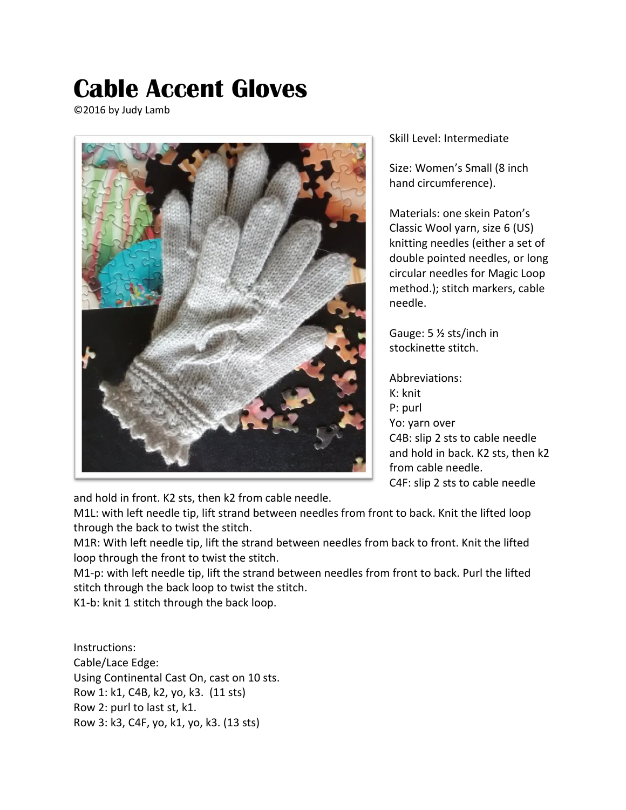## **Cable Accent Gloves**

©2016 by Judy Lamb



Skill Level: Intermediate

Size: Women's Small (8 inch hand circumference).

Materials: one skein Paton's Classic Wool yarn, size 6 (US) knitting needles (either a set of double pointed needles, or long circular needles for Magic Loop method.); stitch markers, cable needle.

Gauge: 5 ½ sts/inch in stockinette stitch.

Abbreviations: K: knit P: purl Yo: yarn over C4B: slip 2 sts to cable needle and hold in back. K2 sts, then k2 from cable needle. C4F: slip 2 sts to cable needle

and hold in front. K2 sts, then k2 from cable needle.

M1L: with left needle tip, lift strand between needles from front to back. Knit the lifted loop through the back to twist the stitch.

M1R: With left needle tip, lift the strand between needles from back to front. Knit the lifted loop through the front to twist the stitch.

M1-p: with left needle tip, lift the strand between needles from front to back. Purl the lifted stitch through the back loop to twist the stitch.

K1-b: knit 1 stitch through the back loop.

Instructions: Cable/Lace Edge: Using Continental Cast On, cast on 10 sts. Row 1: k1, C4B, k2, yo, k3. (11 sts) Row 2: purl to last st, k1. Row 3: k3, C4F, yo, k1, yo, k3. (13 sts)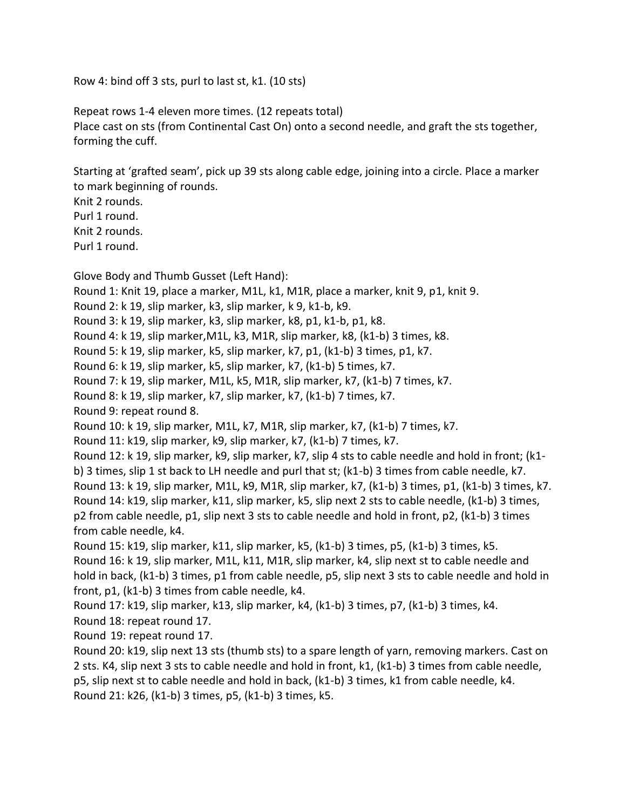Row 4: bind off 3 sts, purl to last st, k1. (10 sts)

Repeat rows 1-4 eleven more times. (12 repeats total) Place cast on sts (from Continental Cast On) onto a second needle, and graft the sts together, forming the cuff.

Starting at 'grafted seam', pick up 39 sts along cable edge, joining into a circle. Place a marker to mark beginning of rounds.

Knit 2 rounds.

Purl 1 round.

Knit 2 rounds.

Purl 1 round.

Glove Body and Thumb Gusset (Left Hand): Round 1: Knit 19, place a marker, M1L, k1, M1R, place a marker, knit 9, p1, knit 9. Round 2: k 19, slip marker, k3, slip marker, k 9, k1-b, k9. Round 3: k 19, slip marker, k3, slip marker, k8, p1, k1-b, p1, k8. Round 4: k 19, slip marker,M1L, k3, M1R, slip marker, k8, (k1-b) 3 times, k8. Round 5: k 19, slip marker, k5, slip marker, k7, p1, (k1-b) 3 times, p1, k7. Round 6: k 19, slip marker, k5, slip marker, k7, (k1-b) 5 times, k7. Round 7: k 19, slip marker, M1L, k5, M1R, slip marker, k7, (k1-b) 7 times, k7. Round 8: k 19, slip marker, k7, slip marker, k7, (k1-b) 7 times, k7. Round 9: repeat round 8. Round 10: k 19, slip marker, M1L, k7, M1R, slip marker, k7, (k1-b) 7 times, k7. Round 11: k19, slip marker, k9, slip marker, k7, (k1-b) 7 times, k7. Round 12: k 19, slip marker, k9, slip marker, k7, slip 4 sts to cable needle and hold in front; (k1 b) 3 times, slip 1 st back to LH needle and purl that st; (k1-b) 3 times from cable needle, k7. Round 13: k 19, slip marker, M1L, k9, M1R, slip marker, k7, (k1-b) 3 times, p1, (k1-b) 3 times, k7. Round 14: k19, slip marker, k11, slip marker, k5, slip next 2 sts to cable needle, (k1-b) 3 times, p2 from cable needle, p1, slip next 3 sts to cable needle and hold in front, p2, (k1-b) 3 times from cable needle, k4. Round 15: k19, slip marker, k11, slip marker, k5, (k1-b) 3 times, p5, (k1-b) 3 times, k5. Round 16: k 19, slip marker, M1L, k11, M1R, slip marker, k4, slip next st to cable needle and hold in back, (k1-b) 3 times, p1 from cable needle, p5, slip next 3 sts to cable needle and hold in front, p1, (k1-b) 3 times from cable needle, k4. Round 17: k19, slip marker, k13, slip marker, k4, (k1-b) 3 times, p7, (k1-b) 3 times, k4. Round 18: repeat round 17. Round 19: repeat round 17. Round 20: k19, slip next 13 sts (thumb sts) to a spare length of yarn, removing markers. Cast on

2 sts. K4, slip next 3 sts to cable needle and hold in front, k1, (k1-b) 3 times from cable needle, p5, slip next st to cable needle and hold in back, (k1-b) 3 times, k1 from cable needle, k4. Round 21: k26, (k1-b) 3 times, p5, (k1-b) 3 times, k5.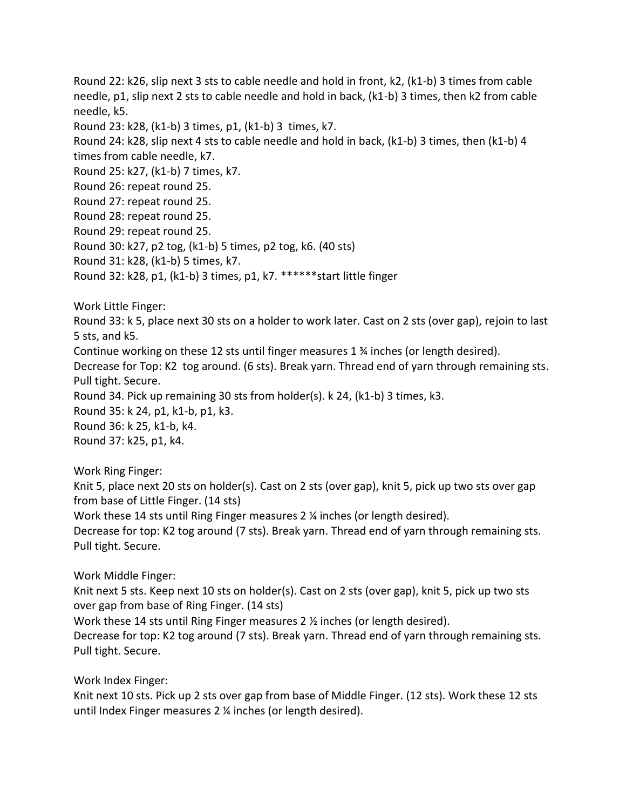Round 22: k26, slip next 3 sts to cable needle and hold in front, k2, (k1-b) 3 times from cable needle, p1, slip next 2 sts to cable needle and hold in back, (k1-b) 3 times, then k2 from cable needle, k5.

Round 23: k28, (k1-b) 3 times, p1, (k1-b) 3 times, k7.

Round 24: k28, slip next 4 sts to cable needle and hold in back, (k1-b) 3 times, then (k1-b) 4 times from cable needle, k7.

Round 25: k27, (k1-b) 7 times, k7.

Round 26: repeat round 25.

Round 27: repeat round 25.

Round 28: repeat round 25.

Round 29: repeat round 25.

Round 30: k27, p2 tog, (k1-b) 5 times, p2 tog, k6. (40 sts)

Round 31: k28, (k1-b) 5 times, k7.

Round 32: k28, p1, (k1-b) 3 times, p1, k7. \*\*\*\*\*\*start little finger

Work Little Finger:

Round 33: k 5, place next 30 sts on a holder to work later. Cast on 2 sts (over gap), rejoin to last 5 sts, and k5.

Continue working on these 12 sts until finger measures 1 ¾ inches (or length desired).

Decrease for Top: K2 tog around. (6 sts). Break yarn. Thread end of yarn through remaining sts. Pull tight. Secure.

Round 34. Pick up remaining 30 sts from holder(s). k 24, (k1-b) 3 times, k3.

Round 35: k 24, p1, k1-b, p1, k3.

Round 36: k 25, k1-b, k4.

Round 37: k25, p1, k4.

Work Ring Finger:

Knit 5, place next 20 sts on holder(s). Cast on 2 sts (over gap), knit 5, pick up two sts over gap from base of Little Finger. (14 sts)

Work these 14 sts until Ring Finger measures 2 ¼ inches (or length desired).

Decrease for top: K2 tog around (7 sts). Break yarn. Thread end of yarn through remaining sts. Pull tight. Secure.

Work Middle Finger:

Knit next 5 sts. Keep next 10 sts on holder(s). Cast on 2 sts (over gap), knit 5, pick up two sts over gap from base of Ring Finger. (14 sts)

Work these 14 sts until Ring Finger measures 2 ½ inches (or length desired).

Decrease for top: K2 tog around (7 sts). Break yarn. Thread end of yarn through remaining sts. Pull tight. Secure.

Work Index Finger:

Knit next 10 sts. Pick up 2 sts over gap from base of Middle Finger. (12 sts). Work these 12 sts until Index Finger measures 2 ¼ inches (or length desired).